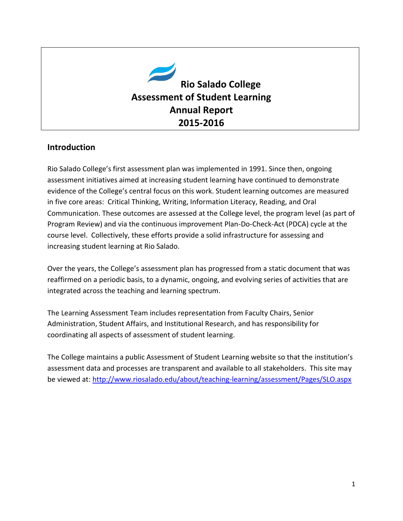

### **Introduction**

Rio Salado College's first assessment plan was implemented in 1991. Since then, ongoing assessment initiatives aimed at increasing student learning have continued to demonstrate evidence of the College's central focus on this work. Student learning outcomes are measured in five core areas: Critical Thinking, Writing, Information Literacy, Reading, and Oral Communication. These outcomes are assessed at the College level, the program level (as part of Program Review) and via the continuous improvement Plan-Do-Check-Act (PDCA) cycle at the course level. Collectively, these efforts provide a solid infrastructure for assessing and increasing student learning at Rio Salado.

Over the years, the College's assessment plan has progressed from a static document that was reaffirmed on a periodic basis, to a dynamic, ongoing, and evolving series of activities that are integrated across the teaching and learning spectrum.

The Learning Assessment Team includes representation from Faculty Chairs, Senior Administration, Student Affairs, and Institutional Research, and has responsibility for coordinating all aspects of assessment of student learning.

The College maintains a public Assessment of Student Learning website so that the institution's assessment data and processes are transparent and available to all stakeholders. This site may be viewed at:<http://www.riosalado.edu/about/teaching-learning/assessment/Pages/SLO.aspx>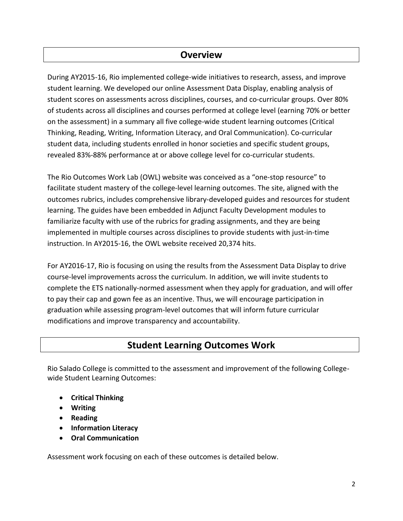## **Overview**

During AY2015-16, Rio implemented college-wide initiatives to research, assess, and improve student learning. We developed our online Assessment Data Display, enabling analysis of student scores on assessments across disciplines, courses, and co‐curricular groups. Over 80% of students across all disciplines and courses performed at college level (earning 70% or better on the assessment) in a summary all five college-wide student learning outcomes (Critical Thinking, Reading, Writing, Information Literacy, and Oral Communication). Co‐curricular student data, including students enrolled in honor societies and specific student groups, revealed 83%-88% performance at or above college level for co-curricular students.

The Rio Outcomes Work Lab (OWL) website was conceived as a "one‐stop resource" to facilitate student mastery of the college‐level learning outcomes. The site, aligned with the outcomes rubrics, includes comprehensive library‐developed guides and resources for student learning. The guides have been embedded in Adjunct Faculty Development modules to familiarize faculty with use of the rubrics for grading assignments, and they are being implemented in multiple courses across disciplines to provide students with just-in-time instruction. In AY2015-16, the OWL website received 20,374 hits.

For AY2016-17, Rio is focusing on using the results from the Assessment Data Display to drive course-level improvements across the curriculum. In addition, we will invite students to complete the ETS nationally-normed assessment when they apply for graduation, and will offer to pay their cap and gown fee as an incentive. Thus, we will encourage participation in graduation while assessing program-level outcomes that will inform future curricular modifications and improve transparency and accountability.

# **Student Learning Outcomes Work**

Rio Salado College is committed to the assessment and improvement of the following Collegewide Student Learning Outcomes:

- **Critical Thinking**
- **Writing**
- **•** Reading
- **Information Literacy**
- **Oral Communication**

Assessment work focusing on each of these outcomes is detailed below.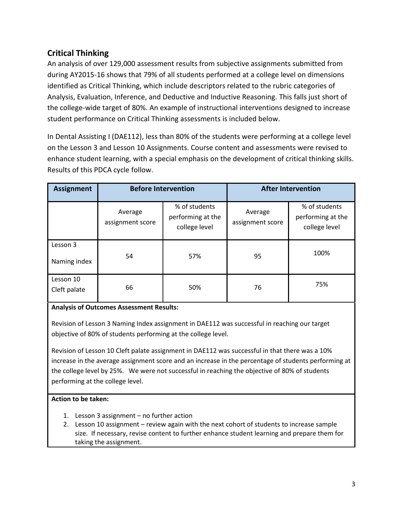## **Critical Thinking**

An analysis of over 129,000 assessment results from subjective assignments submitted from during AY2015-16 shows that 79% of all students performed at a college level on dimensions identified as Critical Thinking, which include descriptors related to the rubric categories of Analysis, Evaluation, Inference, and Deductive and Inductive Reasoning. This falls just short of the college-wide target of 80%. An example of instructional interventions designed to increase student performance on Critical Thinking assessments is included below.

In Dental Assisting I (DAE112), less than 80% of the students were performing at a college level on the Lesson 3 and Lesson 10 Assignments. Course content and assessments were revised to enhance student learning, with a special emphasis on the development of critical thinking skills. Results of this PDCA cycle follow.

| <b>Assignment</b>         | <b>Before Intervention</b>  |                                                     |                             | <b>After Intervention</b>                           |
|---------------------------|-----------------------------|-----------------------------------------------------|-----------------------------|-----------------------------------------------------|
|                           | Average<br>assignment score | % of students<br>performing at the<br>college level | Average<br>assignment score | % of students<br>performing at the<br>college level |
| Lesson 3<br>Naming index  | 57%<br>54                   |                                                     | 95                          | 100%                                                |
| Lesson 10<br>Cleft palate | 66                          | 50%                                                 | 76                          | 75%                                                 |

#### **Analysis of Outcomes Assessment Results:**

Revision of Lesson 3 Naming Index assignment in DAE112 was successful in reaching our target objective of 80% of students performing at the college level.

Revision of Lesson 10 Cleft palate assignment in DAE112 was successful in that there was a 10% increase in the average assignment score and an increase in the percentage of students performing at the college level by 25%. We were not successful in reaching the objective of 80% of students performing at the college level.

### **Action to be taken:**

- 1. Lesson 3 assignment no further action
- 2. Lesson 10 assignment review again with the next cohort of students to increase sample size. If necessary, revise content to further enhance student learning and prepare them for taking the assignment.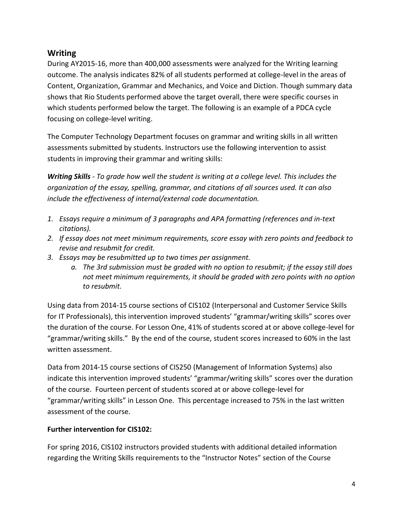## **Writing**

During AY2015-16, more than 400,000 assessments were analyzed for the Writing learning outcome. The analysis indicates 82% of all students performed at college-level in the areas of Content, Organization, Grammar and Mechanics, and Voice and Diction. Though summary data shows that Rio Students performed above the target overall, there were specific courses in which students performed below the target. The following is an example of a PDCA cycle focusing on college-level writing.

The Computer Technology Department focuses on grammar and writing skills in all written assessments submitted by students. Instructors use the following intervention to assist students in improving their grammar and writing skills:

*Writing Skills - To grade how well the student is writing at a college level. This includes the organization of the essay, spelling, grammar, and citations of all sources used. It can also include the effectiveness of internal/external code documentation.*

- *1. Essays require a minimum of 3 paragraphs and APA formatting (references and in-text citations).*
- *2. If essay does not meet minimum requirements, score essay with zero points and feedback to revise and resubmit for credit.*
- *3. Essays may be resubmitted up to two times per assignment.*
	- *a. The 3rd submission must be graded with no option to resubmit; if the essay still does not meet minimum requirements, it should be graded with zero points with no option to resubmit.*

Using data from 2014-15 course sections of CIS102 (Interpersonal and Customer Service Skills for IT Professionals), this intervention improved students' "grammar/writing skills" scores over the duration of the course. For Lesson One, 41% of students scored at or above college-level for "grammar/writing skills." By the end of the course, student scores increased to 60% in the last written assessment.

Data from 2014-15 course sections of CIS250 (Management of Information Systems) also indicate this intervention improved students' "grammar/writing skills" scores over the duration of the course. Fourteen percent of students scored at or above college-level for "grammar/writing skills" in Lesson One. This percentage increased to 75% in the last written assessment of the course.

### **Further intervention for CIS102:**

For spring 2016, CIS102 instructors provided students with additional detailed information regarding the Writing Skills requirements to the "Instructor Notes" section of the Course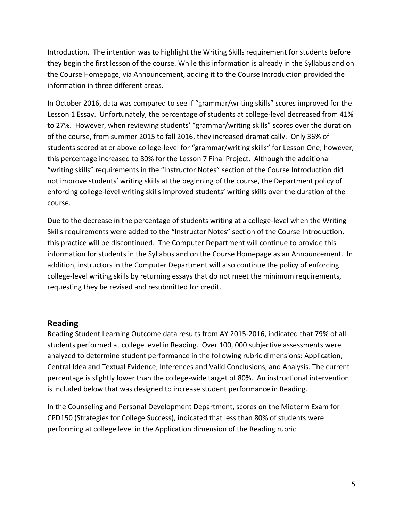Introduction. The intention was to highlight the Writing Skills requirement for students before they begin the first lesson of the course. While this information is already in the Syllabus and on the Course Homepage, via Announcement, adding it to the Course Introduction provided the information in three different areas.

In October 2016, data was compared to see if "grammar/writing skills" scores improved for the Lesson 1 Essay. Unfortunately, the percentage of students at college-level decreased from 41% to 27%. However, when reviewing students' "grammar/writing skills" scores over the duration of the course, from summer 2015 to fall 2016, they increased dramatically. Only 36% of students scored at or above college-level for "grammar/writing skills" for Lesson One; however, this percentage increased to 80% for the Lesson 7 Final Project. Although the additional "writing skills" requirements in the "Instructor Notes" section of the Course Introduction did not improve students' writing skills at the beginning of the course, the Department policy of enforcing college-level writing skills improved students' writing skills over the duration of the course.

Due to the decrease in the percentage of students writing at a college-level when the Writing Skills requirements were added to the "Instructor Notes" section of the Course Introduction, this practice will be discontinued. The Computer Department will continue to provide this information for students in the Syllabus and on the Course Homepage as an Announcement. In addition, instructors in the Computer Department will also continue the policy of enforcing college-level writing skills by returning essays that do not meet the minimum requirements, requesting they be revised and resubmitted for credit.

### **Reading**

Reading Student Learning Outcome data results from AY 2015-2016, indicated that 79% of all students performed at college level in Reading. Over 100, 000 subjective assessments were analyzed to determine student performance in the following rubric dimensions: Application, Central Idea and Textual Evidence, Inferences and Valid Conclusions, and Analysis. The current percentage is slightly lower than the college-wide target of 80%. An instructional intervention is included below that was designed to increase student performance in Reading.

In the Counseling and Personal Development Department, scores on the Midterm Exam for CPD150 (Strategies for College Success), indicated that less than 80% of students were performing at college level in the Application dimension of the Reading rubric.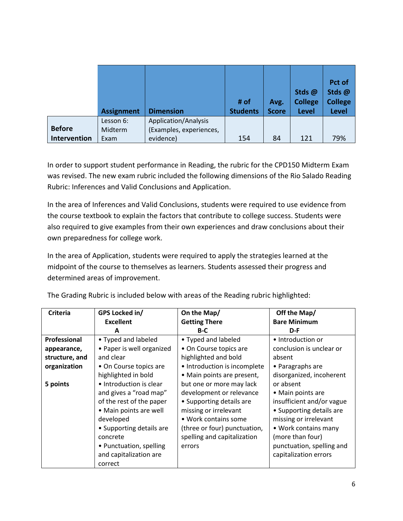|                               | <b>Assignment</b>            | <b>Dimension</b>                                             | # of<br><b>Students</b> | Avg.<br><b>Score</b> | Stds@<br><b>College</b><br><b>Level</b> | Pct of<br>Stds@<br><b>College</b><br><b>Level</b> |
|-------------------------------|------------------------------|--------------------------------------------------------------|-------------------------|----------------------|-----------------------------------------|---------------------------------------------------|
| <b>Before</b><br>Intervention | Lesson 6:<br>Midterm<br>Exam | Application/Analysis<br>(Examples, experiences,<br>evidence) | 154                     | 84                   | 121                                     | 79%                                               |

In order to support student performance in Reading, the rubric for the CPD150 Midterm Exam was revised. The new exam rubric included the following dimensions of the Rio Salado Reading Rubric: Inferences and Valid Conclusions and Application.

In the area of Inferences and Valid Conclusions, students were required to use evidence from the course textbook to explain the factors that contribute to college success. Students were also required to give examples from their own experiences and draw conclusions about their own preparedness for college work.

In the area of Application, students were required to apply the strategies learned at the midpoint of the course to themselves as learners. Students assessed their progress and determined areas of improvement.

| <b>Criteria</b> | GPS Locked in/            | On the Map/                  | Off the Map/              |
|-----------------|---------------------------|------------------------------|---------------------------|
|                 | <b>Excellent</b>          | <b>Getting There</b>         | <b>Bare Minimum</b>       |
|                 | A                         | B-C                          | D-F                       |
| Professional    | • Typed and labeled       | • Typed and labeled          | • Introduction or         |
| appearance,     | • Paper is well organized | • On Course topics are       | conclusion is unclear or  |
| structure, and  | and clear                 | highlighted and bold         | absent                    |
| organization    | • On Course topics are    | • Introduction is incomplete | • Paragraphs are          |
|                 | highlighted in bold       | • Main points are present,   | disorganized, incoherent  |
| 5 points        | • Introduction is clear   | but one or more may lack     | or absent                 |
|                 | and gives a "road map"    | development or relevance     | • Main points are         |
|                 | of the rest of the paper  | • Supporting details are     | insufficient and/or vague |
|                 | • Main points are well    | missing or irrelevant        | • Supporting details are  |
|                 | developed                 | • Work contains some         | missing or irrelevant     |
|                 | • Supporting details are  | (three or four) punctuation, | • Work contains many      |
|                 | concrete                  | spelling and capitalization  | (more than four)          |
|                 | • Punctuation, spelling   | errors                       | punctuation, spelling and |
|                 | and capitalization are    |                              | capitalization errors     |
|                 | correct                   |                              |                           |

The Grading Rubric is included below with areas of the Reading rubric highlighted: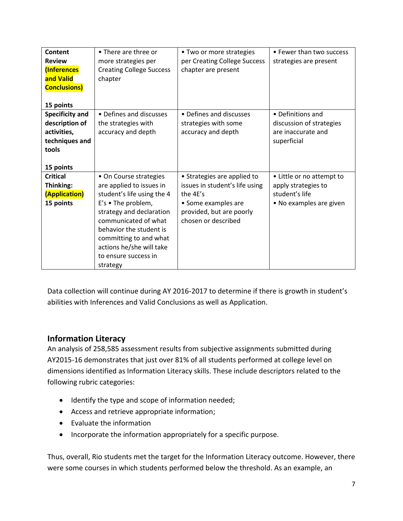| Content                | • There are three or            | • Two or more strategies       | • Fewer than two success  |
|------------------------|---------------------------------|--------------------------------|---------------------------|
| <b>Review</b>          | more strategies per             | per Creating College Success   | strategies are present    |
| (Inferences            | <b>Creating College Success</b> | chapter are present            |                           |
| and Valid              | chapter                         |                                |                           |
| <b>Conclusions)</b>    |                                 |                                |                           |
|                        |                                 |                                |                           |
| 15 points              |                                 |                                |                           |
| <b>Specificity and</b> | • Defines and discusses         | • Defines and discusses        | • Definitions and         |
| description of         | the strategies with             | strategies with some           | discussion of strategies  |
| activities,            | accuracy and depth              | accuracy and depth             | are inaccurate and        |
| techniques and         |                                 |                                | superficial               |
| tools                  |                                 |                                |                           |
|                        |                                 |                                |                           |
| 15 points              |                                 |                                |                           |
| <b>Critical</b>        | • On Course strategies          | • Strategies are applied to    | • Little or no attempt to |
| Thinking:              | are applied to issues in        | issues in student's life using | apply strategies to       |
| (Application)          | student's life using the 4      | the 4E's                       | student's life            |
| 15 points              | $E's$ • The problem,            | • Some examples are            | • No examples are given   |
|                        | strategy and declaration        | provided, but are poorly       |                           |
|                        | communicated of what            | chosen or described            |                           |
|                        | behavior the student is         |                                |                           |
|                        | committing to and what          |                                |                           |
|                        | actions he/she will take        |                                |                           |
|                        | to ensure success in            |                                |                           |
|                        | strategy                        |                                |                           |
|                        |                                 |                                |                           |

Data collection will continue during AY 2016-2017 to determine if there is growth in student's abilities with Inferences and Valid Conclusions as well as Application.

### **Information Literacy**

An analysis of 258,585 assessment results from subjective assignments submitted during AY2015-16 demonstrates that just over 81% of all students performed at college level on dimensions identified as Information Literacy skills. These include descriptors related to the following rubric categories:

- Identify the type and scope of information needed;
- Access and retrieve appropriate information;
- Evaluate the information
- Incorporate the information appropriately for a specific purpose.

Thus, overall, Rio students met the target for the Information Literacy outcome. However, there were some courses in which students performed below the threshold. As an example, an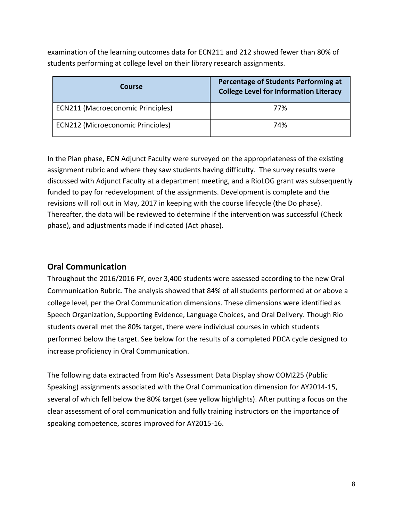examination of the learning outcomes data for ECN211 and 212 showed fewer than 80% of students performing at college level on their library research assignments.

| Course                                   | <b>Percentage of Students Performing at</b><br><b>College Level for Information Literacy</b> |
|------------------------------------------|----------------------------------------------------------------------------------------------|
| <b>ECN211 (Macroeconomic Principles)</b> | 77%                                                                                          |
| <b>ECN212 (Microeconomic Principles)</b> | 74%                                                                                          |

In the Plan phase, ECN Adjunct Faculty were surveyed on the appropriateness of the existing assignment rubric and where they saw students having difficulty. The survey results were discussed with Adjunct Faculty at a department meeting, and a RioLOG grant was subsequently funded to pay for redevelopment of the assignments. Development is complete and the revisions will roll out in May, 2017 in keeping with the course lifecycle (the Do phase). Thereafter, the data will be reviewed to determine if the intervention was successful (Check phase), and adjustments made if indicated (Act phase).

## **Oral Communication**

Throughout the 2016/2016 FY, over 3,400 students were assessed according to the new Oral Communication Rubric. The analysis showed that 84% of all students performed at or above a college level, per the Oral Communication dimensions. These dimensions were identified as Speech Organization, Supporting Evidence, Language Choices, and Oral Delivery. Though Rio students overall met the 80% target, there were individual courses in which students performed below the target. See below for the results of a completed PDCA cycle designed to increase proficiency in Oral Communication.

The following data extracted from Rio's Assessment Data Display show COM225 (Public Speaking) assignments associated with the Oral Communication dimension for AY2014-15, several of which fell below the 80% target (see yellow highlights). After putting a focus on the clear assessment of oral communication and fully training instructors on the importance of speaking competence, scores improved for AY2015-16.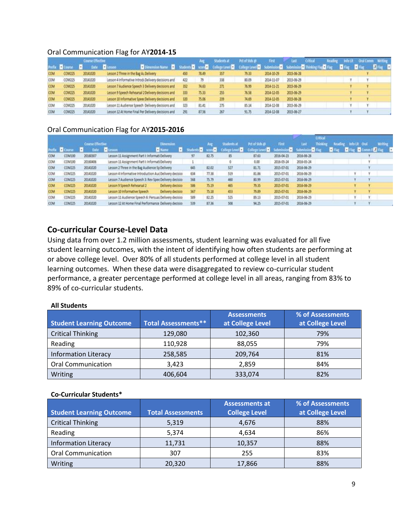#### Oral Communication Flag for AY**2014-15**

|            |               | Course Effective |                  |                                                     |     |       | Students at | PEE of Status and | Fest       | <b>LIM</b><br><b>Oitical</b>                                                                           | lofo Lit | Oral Comm Writing |  |
|------------|---------------|------------------|------------------|-----------------------------------------------------|-----|-------|-------------|-------------------|------------|--------------------------------------------------------------------------------------------------------|----------|-------------------|--|
|            |               | Date             | <b>El Lesson</b> | Dimension Name                                      |     |       |             |                   |            | <b>Example 2</b> College Level <b>3</b> Submission 3 Submission 3 Thinking Flag Filips 1 That 1 Flag 1 |          |                   |  |
| <b>COM</b> | <b>COM225</b> | 20141020         |                  | Lesson 2 Three in the Bag AL Delivery               | 450 | 78.49 | 357         | 79.33             | 2014-10-29 | 2015-06-28                                                                                             |          |                   |  |
| COM        | COM225        | 20141020         |                  | Lesson 4 Informative Introdi Delivery decisions and | 422 | 79    | 338         | 80.09             | 2014-11-07 | 2015-06-29                                                                                             |          |                   |  |
| <b>COM</b> | <b>COM225</b> | 20141020         |                  | Lesson 7 Audience Speech 3 Delivery decisions and   | 352 | 74.63 | 271         | 76.99             | 2014-11-21 | 2015-06-29                                                                                             |          |                   |  |
| COM        | <b>COM225</b> | 20141020         |                  | Lesson 9 Speech Rehearsal 2 Delivery decisions and  | 333 | 75.33 | 255         | 76.58             | 2014-12-05 | 2015-06-29                                                                                             |          |                   |  |
| <b>COM</b> | <b>COM225</b> | 20141020         |                  | Lesson 10 Informative Speer Delivery decisions and  | 320 | 75.06 | 239         | 74.65             | 2014-12-05 | 2015-06-28                                                                                             |          |                   |  |
| COM        | COM225        | 20141020         |                  | Lesson 11 Audience Speech Delivery decisions and    | 123 | 81.41 | 275         | 85.34             | 2014-12-08 | 2015-06-29                                                                                             |          |                   |  |
| COM        | COM225        | 20141020         |                  | Lesson 12 At Home Final Per Delivery decisions and  | 291 | 87.56 | 267         | 91.75             | 2014-12-08 | 2015-06-27                                                                                             |          |                   |  |

### Oral Communication Flag for AY**2015-2016**

|            |                  |                         |                                                         |                   |     |       |             |               |            | Critical     |                                          |  |
|------------|------------------|-------------------------|---------------------------------------------------------|-------------------|-----|-------|-------------|---------------|------------|--------------|------------------------------------------|--|
|            |                  | <b>Course Effective</b> |                                                         | <b>Dimension</b>  |     |       | Students at | Pet of Stds # | First      | <b>Lasty</b> | Info Lit Oral                            |  |
|            | <b>El</b> Course | <b>Date</b>             | <b>E</b> Lesson                                         | <b>El Namy</b>    |     |       | l +         |               |            |              | <b>C</b> Flat <b>C</b> Comp<br>$+$ Times |  |
| COM        | COM100           | 20160307                | Lesson 11 Assignment Part I: Informati Delivery         |                   | 97  | 82.75 | 85          | 87.63         | 2016-04-23 | 2016-06-28   |                                          |  |
| COM        | COM100           | 20160406                | Lesson 11 Assignment Part I: Informati Delivery         |                   |     |       |             | 0.00          | 2016-05-24 | 2016-05-24   |                                          |  |
| COM        | COM225           | 20141020                | Lesson 2 Three in the Bag Audience Sp Delivery          |                   | 645 | 82.02 | 527         | 81.71         | 2015-07-01 | 2016-06-29   |                                          |  |
| <b>COM</b> | COM225           | 20141020                | Lesson 4 Informative Introduction Auc Delivery decisioi |                   | 634 | 77.38 | 519         | 81.86         | 2015-07-01 | 2016-06-29   |                                          |  |
| COM        | COM225           | 20141020                | Lesson 7 Audience Speech 3: Rev Spee Delivery decision  |                   | 568 | 75.79 | 460         | 80.99         | 2015-07-01 | 2016-06-29   |                                          |  |
| <b>COM</b> | <b>COM225</b>    | 20141020                | Lesson 9 Speech Rehearsal 2                             | Delivery decision | 586 | 75.19 | 465         | 79.35         | 2015-07-01 | 2016-06-29   |                                          |  |
| COM        | COM225           | 20141020                | Lesson 10 Informative Speech                            | Delivery decision | 567 | 75.18 | 453         | 79.89         | 2015-07-01 | 2016-06-29   |                                          |  |
| COM        | COM225           | 20141020                | Lesson 11 Audience Speech 6: Persuas Delivery decision  |                   | 589 | 82.25 | 325         | 89.13         | 2015-07-01 | 2016-06-29   |                                          |  |
| COM        | COM225           | 20141020                | Lesson 12 At Home Final Performance Delivery decision   |                   | 539 | 87.36 | 508         | 94.25         | 2015-07-01 | 2016-06-29   |                                          |  |

## **Co-curricular Course-Level Data**

Using data from over 1.2 million assessments, student learning was evaluated for all five student learning outcomes, with the intent of identifying how often students are performing at or above college level. Over 80% of all students performed at college level in all student learning outcomes. When these data were disaggregated to review co-curricular student performance, a greater percentage performed at college level in all areas, ranging from 83% to 89% of co-curricular students.

#### **All Students**

|                                 |                            | <b>Assessments</b> | % of Assessments |
|---------------------------------|----------------------------|--------------------|------------------|
| <b>Student Learning Outcome</b> | <b>Total Assessments**</b> | at College Level   | at College Level |
| <b>Critical Thinking</b>        | 129,080                    | 102,360            | 79%              |
| Reading                         | 110,928                    | 88,055             | 79%              |
| Information Literacy            | 258,585                    | 209,764            | 81%              |
| <b>Oral Communication</b>       | 3.423                      | 2,859              | 84%              |
| Writing                         | 406,604                    | 333,074            | 82%              |

#### **Co-Curricular Students\***

|                                 |                          | <b>Assessments at</b> | % of Assessments |
|---------------------------------|--------------------------|-----------------------|------------------|
| <b>Student Learning Outcome</b> | <b>Total Assessments</b> | <b>College Level</b>  | at College Level |
| <b>Critical Thinking</b>        | 5,319                    | 4,676                 | 88%              |
| Reading                         | 5,374                    | 4.634                 | 86%              |
| <b>Information Literacy</b>     | 11,731                   | 10,357                | 88%              |
| <b>Oral Communication</b>       | 307                      | 255                   | 83%              |
| Writing                         | 20,320                   | 17,866                | 88%              |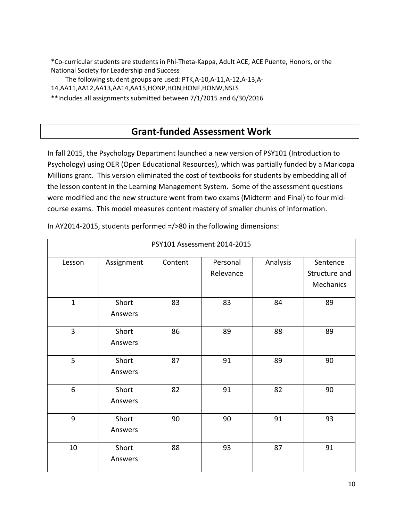\*Co-curricular students are students in Phi-Theta-Kappa, Adult ACE, ACE Puente, Honors, or the National Society for Leadership and Success

The following student groups are used: PTK,A-10,A-11,A-12,A-13,A-

14,AA11,AA12,AA13,AA14,AA15,HONP,HON,HONF,HONW,NSLS

\*\*Includes all assignments submitted between 7/1/2015 and 6/30/2016

# **Grant-funded Assessment Work**

In fall 2015, the Psychology Department launched a new version of PSY101 (Introduction to Psychology) using OER (Open Educational Resources), which was partially funded by a Maricopa Millions grant. This version eliminated the cost of textbooks for students by embedding all of the lesson content in the Learning Management System. Some of the assessment questions were modified and the new structure went from two exams (Midterm and Final) to four midcourse exams. This model measures content mastery of smaller chunks of information.

| PSY101 Assessment 2014-2015 |                  |         |                       |          |                                        |  |  |  |  |
|-----------------------------|------------------|---------|-----------------------|----------|----------------------------------------|--|--|--|--|
| Lesson                      | Assignment       | Content | Personal<br>Relevance | Analysis | Sentence<br>Structure and<br>Mechanics |  |  |  |  |
| $\mathbf{1}$                | Short<br>Answers | 83      | 83                    | 84       | 89                                     |  |  |  |  |
| 3                           | Short<br>Answers | 86      | 89                    | 88       | 89                                     |  |  |  |  |
| 5                           | Short<br>Answers | 87      | 91                    | 89       | 90                                     |  |  |  |  |
| 6                           | Short<br>Answers | 82      | 91                    | 82       | 90                                     |  |  |  |  |
| 9                           | Short<br>Answers | 90      | 90                    | 91       | 93                                     |  |  |  |  |
| 10                          | Short<br>Answers | 88      | 93                    | 87       | 91                                     |  |  |  |  |

In AY2014-2015, students performed =/>80 in the following dimensions: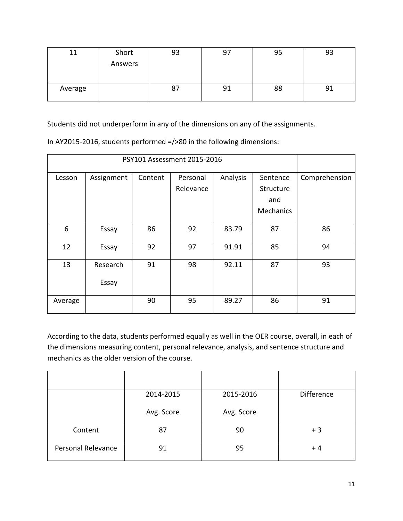| 11      | Short   | 93 | 97 | 95 | 93 |
|---------|---------|----|----|----|----|
|         | Answers |    |    |    |    |
|         |         |    |    |    |    |
| Average |         | 87 | 91 | 88 | 91 |
|         |         |    |    |    |    |

Students did not underperform in any of the dimensions on any of the assignments.

|  |  |  | In AY2015-2016, students performed =/>80 in the following dimensions: |
|--|--|--|-----------------------------------------------------------------------|
|--|--|--|-----------------------------------------------------------------------|

| Lesson  | Assignment        | Content | Personal<br>Relevance | Analysis | Sentence<br>Structure<br>and<br><b>Mechanics</b> | Comprehension |
|---------|-------------------|---------|-----------------------|----------|--------------------------------------------------|---------------|
| 6       | Essay             | 86      | 92                    | 83.79    | 87                                               | 86            |
| 12      | Essay             | 92      | 97                    | 91.91    | 85                                               | 94            |
| 13      | Research<br>Essay | 91      | 98                    | 92.11    | 87                                               | 93            |
| Average |                   | 90      | 95                    | 89.27    | 86                                               | 91            |

According to the data, students performed equally as well in the OER course, overall, in each of the dimensions measuring content, personal relevance, analysis, and sentence structure and mechanics as the older version of the course.

|                           | 2014-2015  | 2015-2016  | <b>Difference</b> |
|---------------------------|------------|------------|-------------------|
|                           | Avg. Score | Avg. Score |                   |
| Content                   | 87         | 90         | $+3$              |
| <b>Personal Relevance</b> | 91         | 95         | $+4$              |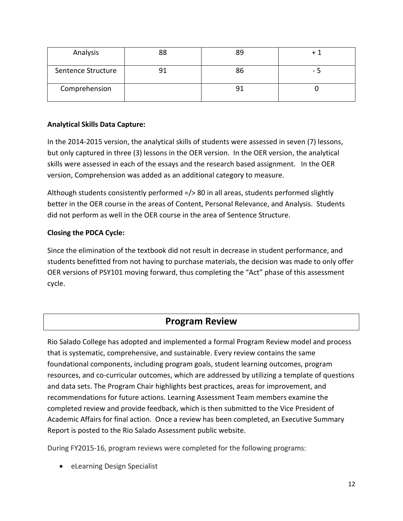| Analysis           | 88 | 89 |               |
|--------------------|----|----|---------------|
| Sentence Structure |    | 86 | $\sim$ $\sim$ |
| Comprehension      |    | ٩1 |               |

### **Analytical Skills Data Capture:**

In the 2014-2015 version, the analytical skills of students were assessed in seven (7) lessons, but only captured in three (3) lessons in the OER version. In the OER version, the analytical skills were assessed in each of the essays and the research based assignment. In the OER version, Comprehension was added as an additional category to measure.

Although students consistently performed =/> 80 in all areas, students performed slightly better in the OER course in the areas of Content, Personal Relevance, and Analysis. Students did not perform as well in the OER course in the area of Sentence Structure.

### **Closing the PDCA Cycle:**

Since the elimination of the textbook did not result in decrease in student performance, and students benefitted from not having to purchase materials, the decision was made to only offer OER versions of PSY101 moving forward, thus completing the "Act" phase of this assessment cycle.

# **Program Review**

Rio Salado College has adopted and implemented a formal Program Review model and process that is systematic, comprehensive, and sustainable. Every review contains the same foundational components, including program goals, student learning outcomes, program resources, and co-curricular outcomes, which are addressed by utilizing a template of questions and data sets. The Program Chair highlights best practices, areas for improvement, and recommendations for future actions. Learning Assessment Team members examine the completed review and provide feedback, which is then submitted to the Vice President of Academic Affairs for final action. Once a review has been completed, an Executive Summary Report is posted to the Rio Salado Assessment public website.

During FY2015-16, program reviews were completed for the following programs:

**•** eLearning Design Specialist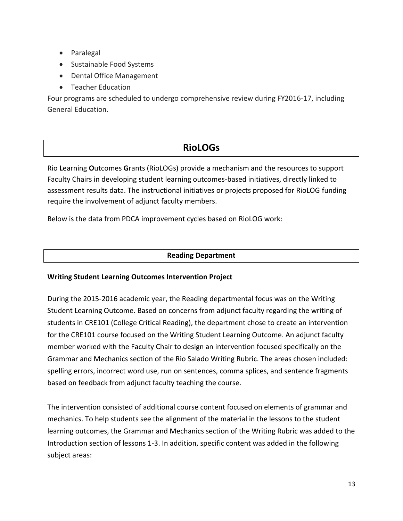- Paralegal
- Sustainable Food Systems
- Dental Office Management
- Teacher Education

Four programs are scheduled to undergo comprehensive review during FY2016-17, including General Education.

# **RioLOGs**

Rio **L**earning **O**utcomes **G**rants (RioLOGs) provide a mechanism and the resources to support Faculty Chairs in developing student learning outcomes-based initiatives, directly linked to assessment results data. The instructional initiatives or projects proposed for RioLOG funding require the involvement of adjunct faculty members.

Below is the data from PDCA improvement cycles based on RioLOG work:

### **Reading Department**

### **Writing Student Learning Outcomes Intervention Project**

During the 2015-2016 academic year, the Reading departmental focus was on the Writing Student Learning Outcome. Based on concerns from adjunct faculty regarding the writing of students in CRE101 (College Critical Reading), the department chose to create an intervention for the CRE101 course focused on the Writing Student Learning Outcome. An adjunct faculty member worked with the Faculty Chair to design an intervention focused specifically on the Grammar and Mechanics section of the Rio Salado Writing Rubric. The areas chosen included: spelling errors, incorrect word use, run on sentences, comma splices, and sentence fragments based on feedback from adjunct faculty teaching the course.

The intervention consisted of additional course content focused on elements of grammar and mechanics. To help students see the alignment of the material in the lessons to the student learning outcomes, the Grammar and Mechanics section of the Writing Rubric was added to the Introduction section of lessons 1-3. In addition, specific content was added in the following subject areas: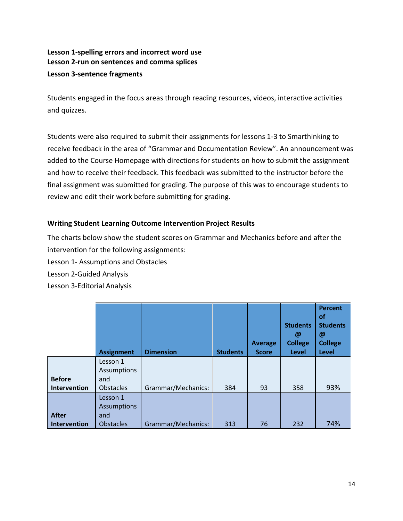## **Lesson 1-spelling errors and incorrect word use Lesson 2-run on sentences and comma splices Lesson 3-sentence fragments**

Students engaged in the focus areas through reading resources, videos, interactive activities and quizzes.

Students were also required to submit their assignments for lessons 1-3 to Smarthinking to receive feedback in the area of "Grammar and Documentation Review". An announcement was added to the Course Homepage with directions for students on how to submit the assignment and how to receive their feedback. This feedback was submitted to the instructor before the final assignment was submitted for grading. The purpose of this was to encourage students to review and edit their work before submitting for grading.

### **Writing Student Learning Outcome Intervention Project Results**

The charts below show the student scores on Grammar and Mechanics before and after the intervention for the following assignments:

Lesson 1- Assumptions and Obstacles

Lesson 2-Guided Analysis

Lesson 3-Editorial Analysis

|                              | <b>Assignment</b>                                         | <b>Dimension</b>   | <b>Students</b> | <b>Average</b><br><b>Score</b> | <b>Students</b><br>$\omega$<br><b>College</b><br><b>Level</b> | <b>Percent</b><br><b>of</b><br><b>Students</b><br>@<br><b>College</b><br><b>Level</b> |
|------------------------------|-----------------------------------------------------------|--------------------|-----------------|--------------------------------|---------------------------------------------------------------|---------------------------------------------------------------------------------------|
| <b>Before</b>                | Lesson 1<br>Assumptions<br>and                            |                    |                 |                                |                                                               |                                                                                       |
| Intervention                 | <b>Obstacles</b>                                          | Grammar/Mechanics: | 384             | 93                             | 358                                                           | 93%                                                                                   |
| <b>After</b><br>Intervention | Lesson 1<br><b>Assumptions</b><br>and<br><b>Obstacles</b> | Grammar/Mechanics: | 313             | 76                             | 232                                                           | 74%                                                                                   |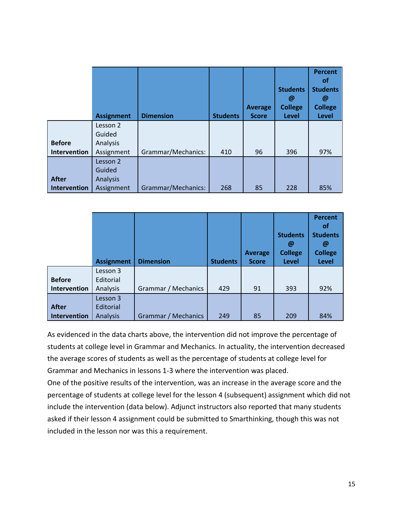|               | <b>Assignment</b> | <b>Dimension</b>   | <b>Students</b> | <b>Average</b><br><b>Score</b> | <b>Students</b><br>@<br><b>College</b><br><b>Level</b> | Percent<br><b>of</b><br><b>Students</b><br>@<br><b>College</b><br><b>Level</b> |
|---------------|-------------------|--------------------|-----------------|--------------------------------|--------------------------------------------------------|--------------------------------------------------------------------------------|
|               | Lesson 2          |                    |                 |                                |                                                        |                                                                                |
|               | Guided            |                    |                 |                                |                                                        |                                                                                |
| <b>Before</b> | Analysis          |                    |                 |                                |                                                        |                                                                                |
| Intervention  | Assignment        | Grammar/Mechanics: | 410             | 96                             | 396                                                    | 97%                                                                            |
|               | Lesson 2          |                    |                 |                                |                                                        |                                                                                |
|               | Guided            |                    |                 |                                |                                                        |                                                                                |
| <b>After</b>  | Analysis          |                    |                 |                                |                                                        |                                                                                |
| Intervention  | Assignment        | Grammar/Mechanics: | 268             | 85                             | 228                                                    | 85%                                                                            |

|               |                   |                     |                 |                |                 | Percent         |
|---------------|-------------------|---------------------|-----------------|----------------|-----------------|-----------------|
|               |                   |                     |                 |                |                 | οf              |
|               |                   |                     |                 |                | <b>Students</b> | <b>Students</b> |
|               |                   |                     |                 |                | $\omega$        | @               |
|               |                   |                     |                 | <b>Average</b> | <b>College</b>  | <b>College</b>  |
|               | <b>Assignment</b> | <b>Dimension</b>    | <b>Students</b> | <b>Score</b>   | <b>Level</b>    | <b>Level</b>    |
|               | Lesson 3          |                     |                 |                |                 |                 |
| <b>Before</b> | Editorial         |                     |                 |                |                 |                 |
| Intervention  | Analysis          | Grammar / Mechanics | 429             | 91             | 393             | 92%             |
|               | Lesson 3          |                     |                 |                |                 |                 |
| <b>After</b>  | Editorial         |                     |                 |                |                 |                 |
| Intervention  | Analysis          | Grammar / Mechanics | 249             | 85             | 209             | 84%             |

As evidenced in the data charts above, the intervention did not improve the percentage of students at college level in Grammar and Mechanics. In actuality, the intervention decreased the average scores of students as well as the percentage of students at college level for Grammar and Mechanics in lessons 1-3 where the intervention was placed.

One of the positive results of the intervention, was an increase in the average score and the percentage of students at college level for the lesson 4 (subsequent) assignment which did not include the intervention (data below). Adjunct instructors also reported that many students asked if their lesson 4 assignment could be submitted to Smarthinking, though this was not included in the lesson nor was this a requirement.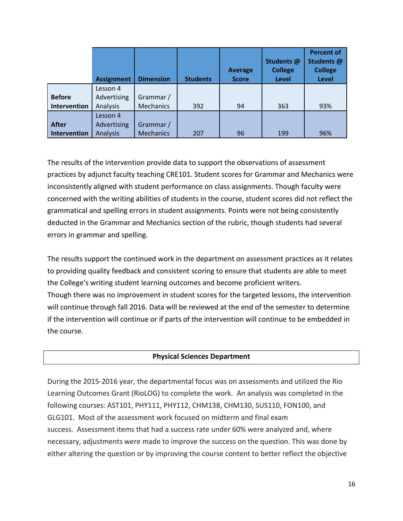|               | <b>Assignment</b> | <b>Dimension</b> | <b>Students</b> | <b>Average</b><br><b>Score</b> | Students @<br><b>College</b><br><b>Level</b> | <b>Percent of</b><br>Students @<br><b>College</b><br><b>Level</b> |
|---------------|-------------------|------------------|-----------------|--------------------------------|----------------------------------------------|-------------------------------------------------------------------|
|               | Lesson 4          |                  |                 |                                |                                              |                                                                   |
| <b>Before</b> | Advertising       | Grammar /        |                 |                                |                                              |                                                                   |
| Intervention  | Analysis          | <b>Mechanics</b> | 392             | 94                             | 363                                          | 93%                                                               |
|               | Lesson 4          |                  |                 |                                |                                              |                                                                   |
| <b>After</b>  | Advertising       | Grammar /        |                 |                                |                                              |                                                                   |
| Intervention  | Analysis          | <b>Mechanics</b> | 207             | 96                             | 199                                          | 96%                                                               |

The results of the intervention provide data to support the observations of assessment practices by adjunct faculty teaching CRE101. Student scores for Grammar and Mechanics were inconsistently aligned with student performance on class assignments. Though faculty were concerned with the writing abilities of students in the course, student scores did not reflect the grammatical and spelling errors in student assignments. Points were not being consistently deducted in the Grammar and Mechanics section of the rubric, though students had several errors in grammar and spelling.

The results support the continued work in the department on assessment practices as it relates to providing quality feedback and consistent scoring to ensure that students are able to meet the College's writing student learning outcomes and become proficient writers. Though there was no improvement in student scores for the targeted lessons, the intervention will continue through fall 2016. Data will be reviewed at the end of the semester to determine if the intervention will continue or if parts of the intervention will continue to be embedded in the course.

#### **Physical Sciences Department**

During the 2015-2016 year, the departmental focus was on assessments and utilized the Rio Learning Outcomes Grant (RioLOG) to complete the work. An analysis was completed in the following courses: AST101, PHY111, PHY112, CHM138, CHM130, SUS110, FON100, and GLG101. Most of the assessment work focused on midterm and final exam success. Assessment items that had a success rate under 60% were analyzed and, where necessary, adjustments were made to improve the success on the question. This was done by either altering the question or by improving the course content to better reflect the objective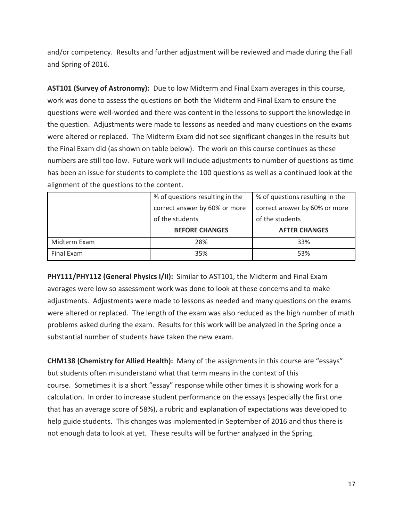and/or competency. Results and further adjustment will be reviewed and made during the Fall and Spring of 2016.

**AST101 (Survey of Astronomy):** Due to low Midterm and Final Exam averages in this course, work was done to assess the questions on both the Midterm and Final Exam to ensure the questions were well-worded and there was content in the lessons to support the knowledge in the question. Adjustments were made to lessons as needed and many questions on the exams were altered or replaced. The Midterm Exam did not see significant changes in the results but the Final Exam did (as shown on table below). The work on this course continues as these numbers are still too low. Future work will include adjustments to number of questions as time has been an issue for students to complete the 100 questions as well as a continued look at the alignment of the questions to the content.

|              | % of questions resulting in the | % of questions resulting in the |
|--------------|---------------------------------|---------------------------------|
|              | correct answer by 60% or more   | correct answer by 60% or more   |
|              | of the students                 | of the students                 |
|              |                                 |                                 |
|              | <b>BEFORE CHANGES</b>           | <b>AFTER CHANGES</b>            |
| Midterm Exam | 28%                             | 33%                             |

**PHY111/PHY112 (General Physics I/II):** Similar to AST101, the Midterm and Final Exam averages were low so assessment work was done to look at these concerns and to make adjustments. Adjustments were made to lessons as needed and many questions on the exams were altered or replaced. The length of the exam was also reduced as the high number of math problems asked during the exam. Results for this work will be analyzed in the Spring once a substantial number of students have taken the new exam.

**CHM138 (Chemistry for Allied Health):** Many of the assignments in this course are "essays" but students often misunderstand what that term means in the context of this course. Sometimes it is a short "essay" response while other times it is showing work for a calculation. In order to increase student performance on the essays (especially the first one that has an average score of 58%), a rubric and explanation of expectations was developed to help guide students. This changes was implemented in September of 2016 and thus there is not enough data to look at yet. These results will be further analyzed in the Spring.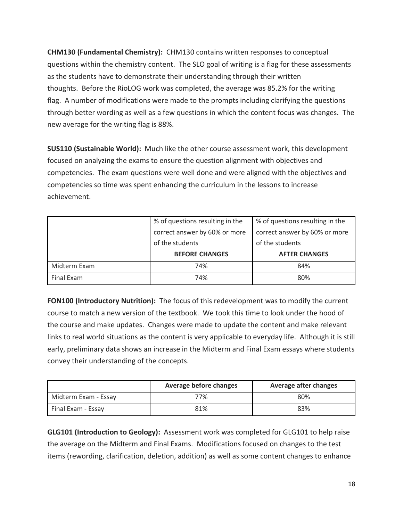**CHM130 (Fundamental Chemistry):** CHM130 contains written responses to conceptual questions within the chemistry content. The SLO goal of writing is a flag for these assessments as the students have to demonstrate their understanding through their written thoughts. Before the RioLOG work was completed, the average was 85.2% for the writing flag. A number of modifications were made to the prompts including clarifying the questions through better wording as well as a few questions in which the content focus was changes. The new average for the writing flag is 88%.

**SUS110 (Sustainable World):** Much like the other course assessment work, this development focused on analyzing the exams to ensure the question alignment with objectives and competencies. The exam questions were well done and were aligned with the objectives and competencies so time was spent enhancing the curriculum in the lessons to increase achievement.

|                               | % of questions resulting in the | % of questions resulting in the |
|-------------------------------|---------------------------------|---------------------------------|
| correct answer by 60% or more |                                 | correct answer by 60% or more   |
|                               | of the students                 | of the students                 |
|                               |                                 |                                 |
|                               | <b>BEFORE CHANGES</b>           | <b>AFTER CHANGES</b>            |
| Midterm Exam                  | 74%                             | 84%                             |

**FON100 (Introductory Nutrition):** The focus of this redevelopment was to modify the current course to match a new version of the textbook. We took this time to look under the hood of the course and make updates. Changes were made to update the content and make relevant links to real world situations as the content is very applicable to everyday life. Although it is still early, preliminary data shows an increase in the Midterm and Final Exam essays where students convey their understanding of the concepts.

|                      | Average before changes | <b>Average after changes</b> |
|----------------------|------------------------|------------------------------|
| Midterm Exam - Essay | 77%                    | 80%                          |
| Final Exam - Essay   | 81%                    | 83%                          |

**GLG101 (Introduction to Geology):** Assessment work was completed for GLG101 to help raise the average on the Midterm and Final Exams. Modifications focused on changes to the test items (rewording, clarification, deletion, addition) as well as some content changes to enhance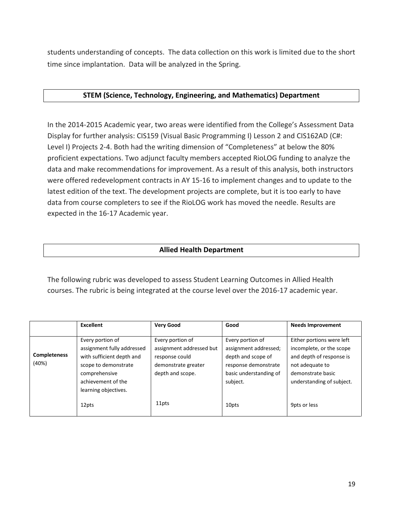students understanding of concepts. The data collection on this work is limited due to the short time since implantation. Data will be analyzed in the Spring.

#### **STEM (Science, Technology, Engineering, and Mathematics) Department**

In the 2014-2015 Academic year, two areas were identified from the College's Assessment Data Display for further analysis: CIS159 (Visual Basic Programming I) Lesson 2 and CIS162AD (C#: Level I) Projects 2-4. Both had the writing dimension of "Completeness" at below the 80% proficient expectations. Two adjunct faculty members accepted RioLOG funding to analyze the data and make recommendations for improvement. As a result of this analysis, both instructors were offered redevelopment contracts in AY 15-16 to implement changes and to update to the latest edition of the text. The development projects are complete, but it is too early to have data from course completers to see if the RioLOG work has moved the needle. Results are expected in the 16-17 Academic year.

### **Allied Health Department**

The following rubric was developed to assess Student Learning Outcomes in Allied Health courses. The rubric is being integrated at the course level over the 2016-17 academic year.

|                     | Excellent                  | <b>Very Good</b>         | Good                   | <b>Needs Improvement</b>  |
|---------------------|----------------------------|--------------------------|------------------------|---------------------------|
|                     |                            |                          |                        |                           |
|                     | Every portion of           | Every portion of         | Every portion of       | Either portions were left |
|                     | assignment fully addressed | assignment addressed but | assignment addressed;  | incomplete, or the scope  |
| <b>Completeness</b> | with sufficient depth and  | response could           | depth and scope of     | and depth of response is  |
| (40%)               | scope to demonstrate       | demonstrate greater      | response demonstrate   | not adequate to           |
|                     | comprehensive              | depth and scope.         | basic understanding of | demonstrate basic         |
|                     | achievement of the         |                          | subject.               | understanding of subject. |
|                     | learning objectives.       |                          |                        |                           |
|                     | 12pts                      | 11pts                    | 10pts                  | 9pts or less              |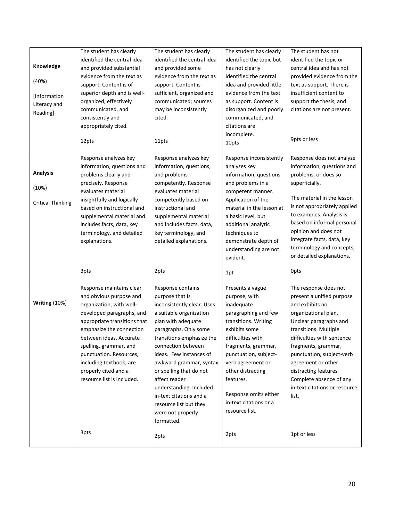| Knowledge<br>(40%)<br>[Information<br>Literacy and<br>Reading] | The student has clearly<br>identified the central idea<br>and provided substantial<br>evidence from the text as<br>support. Content is of<br>superior depth and is well-<br>organized, effectively<br>communicated, and<br>consistently and<br>appropriately cited.<br>12pts                                                                      | The student has clearly<br>identified the central idea<br>and provided some<br>evidence from the text as<br>support. Content is<br>sufficient, organized and<br>communicated; sources<br>may be inconsistently<br>cited.<br>11pts                                                                                                                                                                                            | The student has clearly<br>identified the topic but<br>has not clearly<br>identified the central<br>idea and provided little<br>evidence from the text<br>as support. Content is<br>disorganized and poorly<br>communicated, and<br>citations are<br>incomplete.<br>10pts                                                 | The student has not<br>identified the topic or<br>central idea and has not<br>provided evidence from the<br>text as support. There is<br>insufficient content to<br>support the thesis, and<br>citations are not present.<br>9pts or less                                                                                                                             |
|----------------------------------------------------------------|---------------------------------------------------------------------------------------------------------------------------------------------------------------------------------------------------------------------------------------------------------------------------------------------------------------------------------------------------|------------------------------------------------------------------------------------------------------------------------------------------------------------------------------------------------------------------------------------------------------------------------------------------------------------------------------------------------------------------------------------------------------------------------------|---------------------------------------------------------------------------------------------------------------------------------------------------------------------------------------------------------------------------------------------------------------------------------------------------------------------------|-----------------------------------------------------------------------------------------------------------------------------------------------------------------------------------------------------------------------------------------------------------------------------------------------------------------------------------------------------------------------|
| <b>Analysis</b><br>(10%)<br><b>Critical Thinking</b>           | Response analyzes key<br>information, questions and<br>problems clearly and<br>precisely. Response<br>evaluates material<br>insightfully and logically<br>based on instructional and<br>supplemental material and<br>includes facts, data, key<br>terminology, and detailed<br>explanations.<br>3pts                                              | Response analyzes key<br>information, questions,<br>and problems<br>competently. Response<br>evaluates material<br>competently based on<br>instructional and<br>supplemental material<br>and includes facts, data,<br>key terminology, and<br>detailed explanations.<br>2pts                                                                                                                                                 | Response inconsistently<br>analyzes key<br>information, questions<br>and problems in a<br>competent manner.<br>Application of the<br>material in the lesson at<br>a basic level, but<br>additional analytic<br>techniques to<br>demonstrate depth of<br>understanding are not<br>evident.<br>1pt                          | Response does not analyze<br>information, questions and<br>problems, or does so<br>superficially.<br>The material in the lesson<br>is not appropriately applied<br>to examples. Analysis is<br>based on informal personal<br>opinion and does not<br>integrate facts, data, key<br>terminology and concepts,<br>or detailed explanations.<br><b>Opts</b>              |
| Writing (10%)                                                  | Response maintains clear<br>and obvious purpose and<br>organization, with well-<br>developed paragraphs, and<br>appropriate transitions that<br>emphasize the connection<br>between ideas. Accurate<br>spelling, grammar, and<br>punctuation. Resources,<br>including textbook, are<br>properly cited and a<br>resource list is included.<br>3pts | Response contains<br>purpose that is<br>inconsistently clear. Uses<br>a suitable organization<br>plan with adequate<br>paragraphs. Only some<br>transitions emphasize the<br>connection between<br>ideas. Few instances of<br>awkward grammar, syntax<br>or spelling that do not<br>affect reader<br>understanding. Included<br>in-text citations and a<br>resource list but they<br>were not properly<br>formatted.<br>2pts | Presents a vague<br>purpose, with<br>inadequate<br>paragraphing and few<br>transitions. Writing<br>exhibits some<br>difficulties with<br>fragments, grammar,<br>punctuation, subject-<br>verb agreement or<br>other distracting<br>features.<br>Response omits either<br>in-text citations or a<br>resource list.<br>2pts | The response does not<br>present a unified purpose<br>and exhibits no<br>organizational plan.<br>Unclear paragraphs and<br>transitions. Multiple<br>difficulties with sentence<br>fragments, grammar,<br>punctuation, subject-verb<br>agreement or other<br>distracting features.<br>Complete absence of any<br>in-text citations or resource<br>list.<br>1pt or less |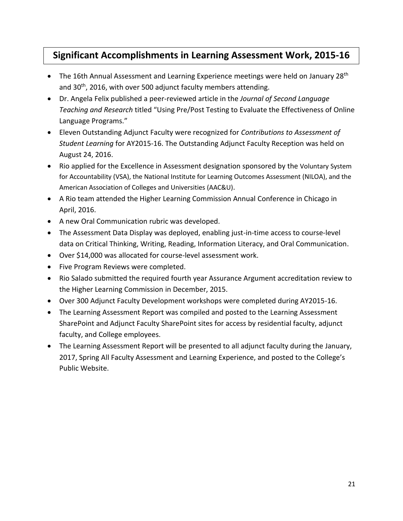# **Significant Accomplishments in Learning Assessment Work, 2015-16**

- The 16th Annual Assessment and Learning Experience meetings were held on January 28<sup>th</sup> and  $30<sup>th</sup>$ , 2016, with over 500 adjunct faculty members attending.
- Dr. Angela Felix published a peer-reviewed article in the *Journal of Second Language Teaching and Research* titled "Using Pre/Post Testing to Evaluate the Effectiveness of Online Language Programs."
- Eleven Outstanding Adjunct Faculty were recognized for *Contributions to Assessment of Student Learning* for AY2015-16. The Outstanding Adjunct Faculty Reception was held on August 24, 2016.
- Rio applied for the Excellence in Assessment designation sponsored by the Voluntary System for Accountability (VSA), the National Institute for Learning Outcomes Assessment (NILOA), and the American Association of Colleges and Universities (AAC&U).
- A Rio team attended the Higher Learning Commission Annual Conference in Chicago in April, 2016.
- A new Oral Communication rubric was developed.
- The Assessment Data Display was deployed, enabling just-in-time access to course-level data on Critical Thinking, Writing, Reading, Information Literacy, and Oral Communication.
- Over \$14,000 was allocated for course-level assessment work.
- Five Program Reviews were completed.
- Rio Salado submitted the required fourth year Assurance Argument accreditation review to the Higher Learning Commission in December, 2015.
- Over 300 Adjunct Faculty Development workshops were completed during AY2015-16.
- The Learning Assessment Report was compiled and posted to the Learning Assessment SharePoint and Adjunct Faculty SharePoint sites for access by residential faculty, adjunct faculty, and College employees.
- The Learning Assessment Report will be presented to all adjunct faculty during the January, 2017, Spring All Faculty Assessment and Learning Experience, and posted to the College's Public Website.